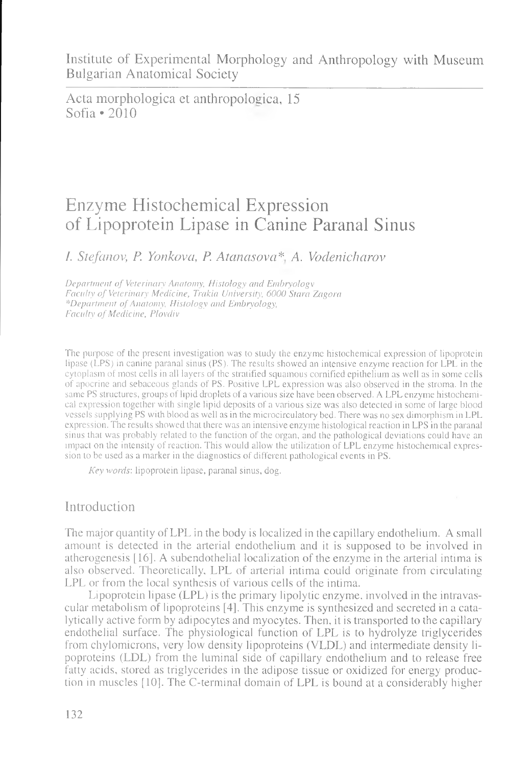Acta morphologica et anthropolosica, 15 Sofia • 2010

# Enzyme Histochemical Expression of Lipoprotein Lipase in Canine Paranal Sinus

*I. Stefanov, P. Yonkova, P. Atanasova*\* *A. Vodenicharov*

*Department of Veterinary Anatomy, Histology and Embryology Faculty of Veterinary Medicine, Trakia University, 6000 Stara Zagora \*Department of Anatomy, Histology and Embryology, Faculty of Medicine, Plovdiv*

The purpose of the present investigation was to study the enzyme histochemical expression of lipoprotein lipase (LPS) in canine paranal sinus (PS). The results showed an intensive enzyme reaction for LPL in the cytoplasm of most cells in all layers of the stratified squamous cornified epithelium as well as in some cells of apocrine and sebaceous glands of PS. Positive LPL expression was also observed in the stroma. In the same PS structures, groups of lipid droplets of a various size have been observed. A LPL enzyme histochemical expression together with single lipid deposits of a various size was also detected in some of large blood vessels supplying PS with blood as well as in the microcirculatory bed. There was no sex dimorphism in LPL expression. The results showed that there was an intensive enzyme histological reaction in LPS in the paranal sinus that was probably related to the function of the organ, and the pathological deviations could have an impact on the intensity of reaction. This would allow the utilization of LPL enzyme histochemical expression to be used as a marker in the diagnostics of different pathological events in PS.

*Key words',* lipoprotein lipase, paranal sinus, dog.

## Introduction

The major quantity of LPL in the body is localized in the capillary endothelium. A small amount is detected in the arterial endothelium and it is supposed to be involved in atherogenesis [16]. A subendothelial localization of the enzyme in the arterial intima is also observed. Theoretically. LPL of arterial intima could originate from circulating LPL or from the local synthesis of various cells of the intima.

Lipoprotein lipase (LPL) is the primary lipolytic enzyme, involved in the intravascular metabolism of lipoproteins [4]. This enzyme is synthesized and secreted in a catalytically active form by adipocytes and myocytes. Then, it is transported to the capillary endothelial surface. The physiological function of LPL is to hydrolyze triglycerides from chylomicrons, very low density lipoproteins (VLDL) and intermediate density lipoproteins (LDL) from the luminal side of capillary endothelium and to release free fatty acids, stored as triglycerides in the adipose tissue or oxidized for energy production in muscles [10]. The C-terminal domain of LPL is bound at a considerably higher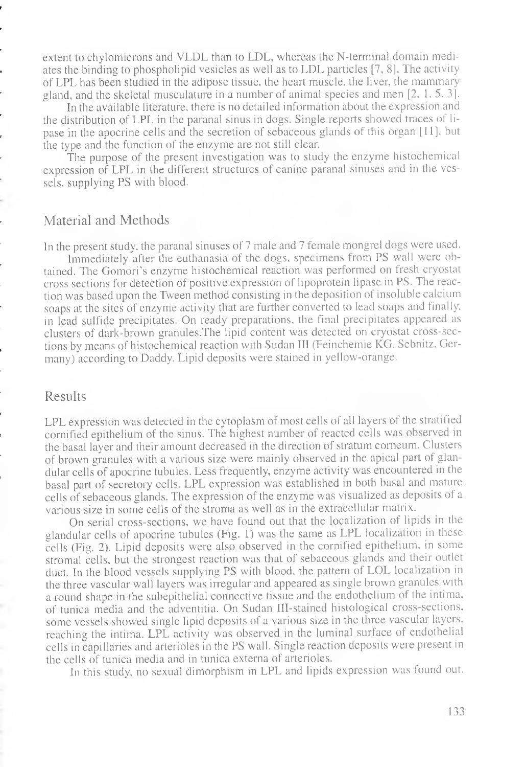extent to chylomicrons and VLDL than to LDL, whereas the N-terminal domain mediates the binding to phospholipid vesicles as well as to LDL particles [7, 8]. The activity of LPL has been studied in the adipose tissue, the heart muscle, the liver, the mammary gland, and the skeletal musculature in a number of animal species and men [2, 1,5,3].

In the available literature, there is no detailed information about the expression and the distribution of LPL in the paranal sinus in dogs. Single reports showed traces of lipase in the apocrine cells and the secretion of sebaceous glands of this organ [11]. but the type and the function of the enzyme are not still clear.

The purpose of the present investigation was to study the enzyme histochemical expression of LPL in the different structures of canine paranal sinuses and in the vessels, supplying PS with blood.

#### Material and Methods

In the present study, the paranal sinuses of 7 male and 7 female mongrel dogs were used.

Immediately after the euthanasia of the dogs, specimens from PS wall were obtained. The Gomori's enzyme histochemical reaction was performed on fresh cryostat cross sections for detection of positive expression of lipoprotein lipase in PS. The reaction was based upon the Tween method consisting in the deposition of insoluble calcium soaps at the sites of enzyme activity that are further converted to lead soaps and finally, in lead sulfide precipitates. On ready preparations, the final precipitates appeared as clusters of dark-brown granules.The lipid content was detected on cryostat cross-sections by means of histochemical reaction with Sudan III (Feinchemie KG. Sebnitz, Germany) according to Daddy. Lipid deposits were stained in yellow-orange.

#### Results

LPL expression was detected in the cytoplasm of most cells of all layers of the stratified cornified epithelium of the sinus. The highest number of reacted cells was observed in the basal layer and their amount decreased in the direction of stratum corneum. Clusters of brown granules with a various size were mainly observed in the apical part of glandular cells of apocrine tubules. Less frequently, enzyme activity was encountered in the basal part of secretory cells. LPL expression was established in both basal and mature cells of sebaceous glands. The expression of the enzyme was visualized as deposits of a various size in some cells of the stroma as well as in the extracellular matrix.

On serial cross-sections, we have found out that the localization of lipids in the glandular cells of apocrine tubules (Fig. 1) was the same as LPL localization in these cells (Fig. 2). Lipid deposits were also observed in the cornified epithelium, in some stromal cells, but the strongest reaction was that of sebaceous glands and their outlet duct. In the blood vessels supplying PS with blood, the pattern of LOL localization in the three vascular wall layers was irregular and appeared as single brown granules with a round shape in the subepithelial connective tissue and the endothelium of the intima. of tunica media and the adventitia. On Sudan IH-stained histological cross-sections, some vessels showed single lipid deposits of a various size in the three vascular layers, reaching the intima. LPL activity was observed in the luminal surface of endothelial cells in capillaries and arterioles in the PS wall. Single reaction deposits were present in the cells of tunica media and in tunica externa of arterioles.

In this study, no sexual dimorphism in LPL and lipids expression was found out.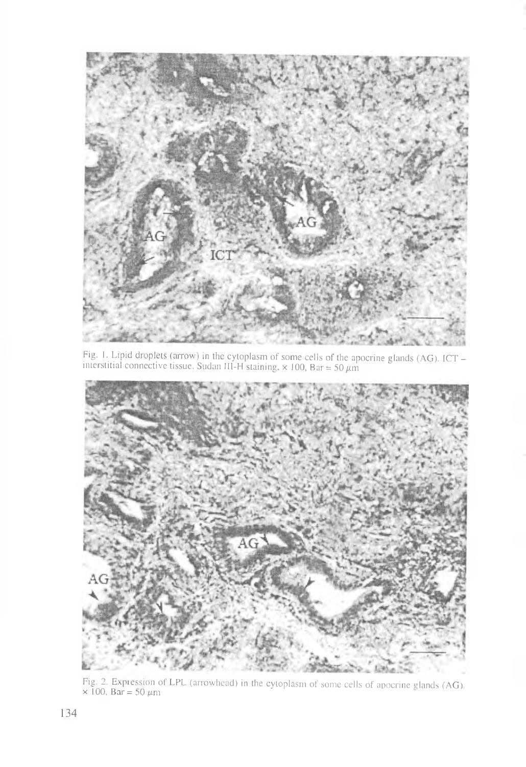

Fig. 1. Lipid droplets (arrow) in the cytoplasm of some cells of the apocrine glands (AG). ICT interstitial connective tissue. Sudan III-H staining,  $\times$  100, Bar = 50  $\mu$ m



Fig. 2. Expression of LPL (arrowhead) in the cytoplasm of some cells of apocrine glands (AG).<br>× 100, Bar = 50  $\mu$ m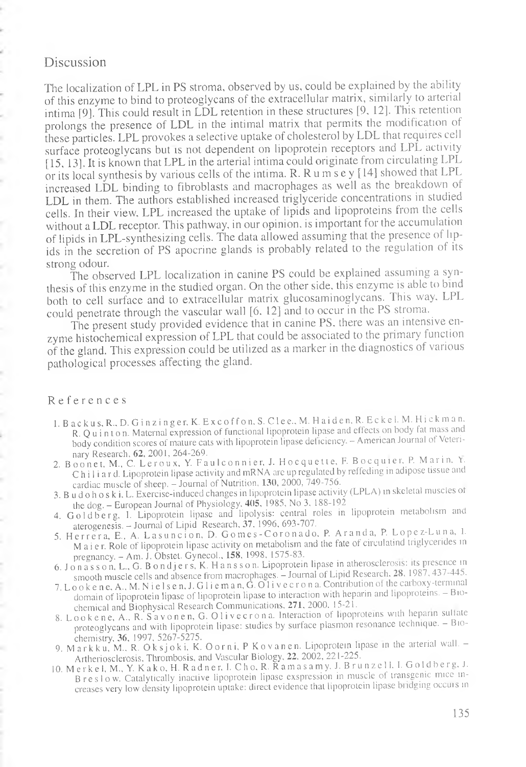### Discussion

The localization of LPL in PS stroma, observed by us, could be explained by the ability of this enzyme to bind to proteoglycans of the extracellular matrix, similarly to arterial intima [9]. This could result in LDL retention in these structures [9, 12]. This retention prolongs the presence of LDL in the intimal matrix that permits the modification of these particles. LPL provokes a selective uptake of cholesterol by LDL that requires cell surface proteoglycans but is not dependent on lipoprotein receptors and LPL activity [15, 13]. It is known that LPL in the arterial intima could originate from circulating LPL or its local synthesis by various cells of the intima. R.Rumsey [14] showed that LPL increased LDL binding to fibroblasts and macrophages as well as the breakdown of LDL in them. The authors established increased triglyceride concentrations in studied cells. In their view, LPL increased the uptake of lipids and lipoproteins from the cells without a LDL receptor. This pathway, in our opinion, is important for the accumulation of lipids in LPL-synthesizing cells. The data allowed assuming that the presence of lipids in the secretion of PS apocrine glands is probably related to the regulation of its strong odour.

The observed LPL localization in canine PS could be explained assuming a synthesis of this enzyme in the studied organ. On the other side, this enzyme is able to bind both to cell surface and to extracellular matrix glucosaminoglycans. This way, LPL could penetrate through the vascular wall [6. 12] and to occur in the PS stroma.

The present study provided evidence that in canine PS. there was an intensive enzyme histochemical expression of LPL that could be associated to the piimary function of the gland. This expression could be utilized as a marker in the diagnostics of various pathological processes affecting the gland.

#### R e f e r e n c e s

- 1. B a c k u s, R., D. G i n z i n g e r, K. E x c o f f o n, S. C l e e., M. H a i d e n, R. E c k e l. M. Hi c k m a n, R. Q u i n t o n. Maternal expression of functional lipoprotein lipase and effects on body fat mass and body condition scores of mature cats with lipoprotein lipase deficiency. - American Journal of Veteri-<br>nary Research, 62, 2001, 264-269.
- nary Research, 62, 2001, 264-269.<br>2. Boonet, M., C. Leroux, Y. Faulconnier, J. Hocquette, F. Bocquier, P. Marin, Y. Chi 1 i a r d. Lipoprotein lipase activity and mRNA are up regulated by reffeding in adipose tissue and cardiac muscle of sheep. - Journal of Nutrition, 130, 2000, 749-756.
- 3. B u d o h o s k i, L. Exercise-induced changes in lipoprotein lipase activity (LPLA) in skeletal muscles of the dog. - European Journal of Physiology, 405, 1985, No 3, 188-192
- 4. Goldberg, I. Lipoprotein lipase and lipolysis: central roles in lipoprotein metabolism and aterogenesis. - Journal of Lipid Research, 37, 1996, 693-707.
- 5. Herrera, E., A. Lasuncion, D. Gomes-Coronado, P. Aranda, P. Lopez-Luna, I. M a i e r. Role of lipoprotein lipase activity on metabolism and the fate of circulatind triglycerides in pregnancy. — Am. J. Obstet. Gynecol., 158, 1998, 1575-83.
- 6. J o n a s son, L., G. B o n d j ers, K. H a n s son. Lipoprotein lipase in atherosclerosis: its presence in smooth muscle cells and absence from macrophages. - Journal of Lipid Research. 28, 1987, 437-445.
- 7. L o o k e n e, A., M. N i e l s e n, J. G l i e m a n,  $\dot{G}$ . O l i v e c r o n a. Contribution of the carboxy-terminal domain of lipoprotein lipase of lipoprotein lipase to interaction with heparin and lipoproteins. - Biochemical and Biophysical Research Communications, 271. 2000, 15-21.
- 8. Lookene, A., R. Savonen, G. Olivecrona. Interaction of lipoproteins with heparin sulfate proteoglycans and with lipoprotein lipase: studies by surface plasmon resonance technique. - Bio-
- chemistry, 36, 1997, 5267-5275.<br>9. Markku, M., R. Oksjoki, K. Oorni, P Kovanen. Lipoprotein lipase in the arterial wall. Artheriosclerosis, Thrombosis, and Vascular Biology, 22, 2002, 221-225.
- 10. M e r k e i, M., Y. K a k o, H. R a d n e r, I. C h o, R. R a m a s a m y, J. B r u n z e 11, I. G o 1 d b e r g, J. B reslow. Catalytically inactive lipoprotein lipase exspression in muscle of transgenic mice increases very low density lipoprotein uptake: direct evidence that lipoprotein lipase bridging occurs in